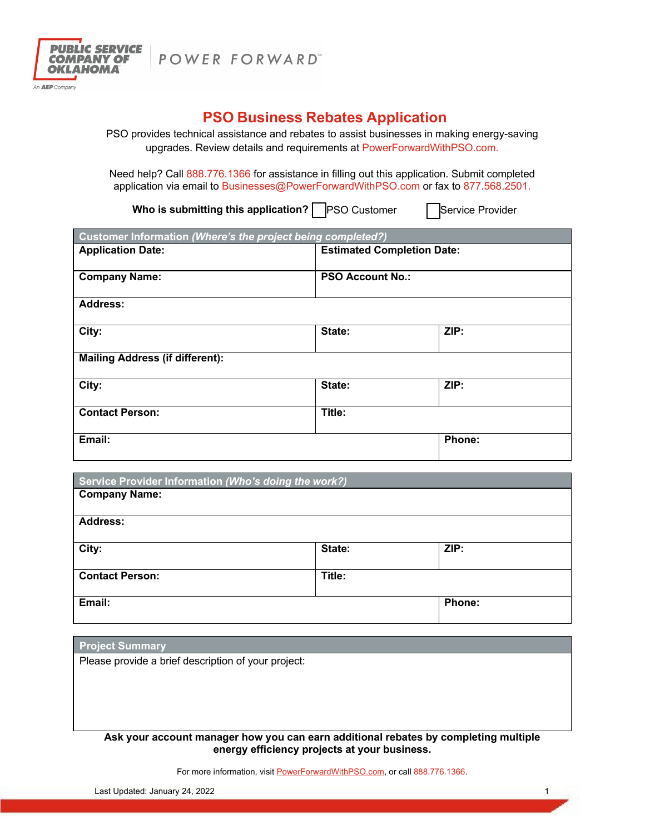

POWER FORWARD"

# **PSO Business Rebates Application**

PSO provides technical assistance and rebates to assist businesses in making energy-saving upgrades. Review details and requirements at PowerForwardWithPSO.com.

Need help? Call 888.776.1366 for assistance in filling out this application. Submit completed application via email to Businesses@PowerForwardWithPSO.com or fax to 877.568.2501.

**Who is submitting this application? PSO Customer** Service Provider

| Customer Information (Where's the project being completed?) |                                   |        |  |  |
|-------------------------------------------------------------|-----------------------------------|--------|--|--|
| <b>Application Date:</b>                                    | <b>Estimated Completion Date:</b> |        |  |  |
| <b>Company Name:</b>                                        | <b>PSO Account No.:</b>           |        |  |  |
| <b>Address:</b>                                             |                                   |        |  |  |
| City:                                                       | State:                            | ZIP:   |  |  |
| <b>Mailing Address (if different):</b>                      |                                   |        |  |  |
| City:                                                       | State:                            | ZIP:   |  |  |
| <b>Contact Person:</b>                                      | Title:                            |        |  |  |
| Email:                                                      |                                   | Phone: |  |  |

| Service Provider Information (Who's doing the work?) |        |        |  |  |
|------------------------------------------------------|--------|--------|--|--|
| <b>Company Name:</b>                                 |        |        |  |  |
| <b>Address:</b>                                      |        |        |  |  |
| City:                                                | State: | ZIP:   |  |  |
| <b>Contact Person:</b>                               | Title: |        |  |  |
| Email:                                               |        | Phone: |  |  |

#### **Project Summary**

Please provide a brief description of your project:

**Ask your account manager how you can earn additional rebates by completing multiple energy efficiency projects at your business.** 

For more information, visit PowerForwardWithPSO.com, or call 888.776.1366.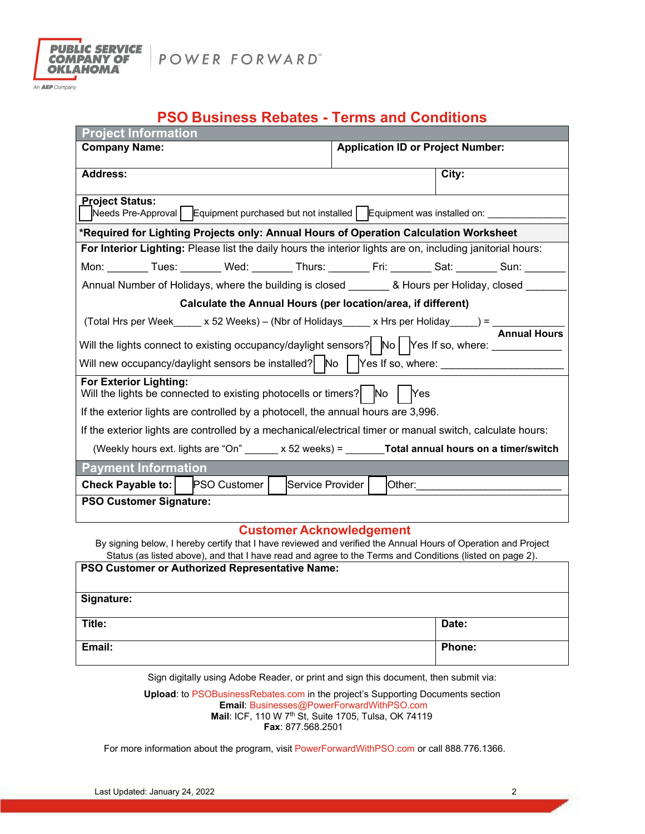

POWER FORWARD"

An **AEP** Company

# **PSO Business Rebates - Terms and Conditions**

| <b>Application ID or Project Number:</b><br><b>Company Name:</b><br><b>Address:</b><br>City:<br><b>Project Status:</b><br>Needs Pre-Approval   Equipment purchased but not installed   Equipment was installed on: ______<br>*Required for Lighting Projects only: Annual Hours of Operation Calculation Worksheet<br>For Interior Lighting: Please list the daily hours the interior lights are on, including janitorial hours:<br>Mon: _______ Tues: _______ Wed: _______ Thurs: _______ Fri: _______ Sat: _______ Sun: _____<br>Annual Number of Holidays, where the building is closed _________ & Hours per Holiday, closed ____<br>Calculate the Annual Hours (per location/area, if different)<br>(Total Hrs per Week_____ x 52 Weeks) – (Nbr of Holidays_____ x Hrs per Holiday_____) = $\frac{1}{\sqrt{2\pi}}$<br>Will the lights connect to existing occupancy/daylight sensors? No TYes If so, where: _____________<br>Will new occupancy/daylight sensors be installed? $\mid$ No $\mid$ Yes If so, where: ___________________<br><b>For Exterior Lighting:</b><br>Will the lights be connected to existing photocells or timers? $\begin{bmatrix} N_0 \\ N_1 \end{bmatrix}$ $\begin{bmatrix} N_1 \\ N_2 \end{bmatrix}$<br>If the exterior lights are controlled by a photocell, the annual hours are 3,996.<br>If the exterior lights are controlled by a mechanical/electrical timer or manual switch, calculate hours:<br>(Weekly hours ext. lights are "On" $\qquad x 52$ weeks) = <b>Total annual hours on a timer/switch</b><br><b>Payment Information</b><br><b>Check Payable to:</b><br><b>PSO Customer</b><br>Service Provider<br>Other:_______<br><b>PSO Customer Signature:</b> | <b>Project Information</b> |  |  |  |
|--------------------------------------------------------------------------------------------------------------------------------------------------------------------------------------------------------------------------------------------------------------------------------------------------------------------------------------------------------------------------------------------------------------------------------------------------------------------------------------------------------------------------------------------------------------------------------------------------------------------------------------------------------------------------------------------------------------------------------------------------------------------------------------------------------------------------------------------------------------------------------------------------------------------------------------------------------------------------------------------------------------------------------------------------------------------------------------------------------------------------------------------------------------------------------------------------------------------------------------------------------------------------------------------------------------------------------------------------------------------------------------------------------------------------------------------------------------------------------------------------------------------------------------------------------------------------------------------------------------------------------------------------------------------------------------------------------|----------------------------|--|--|--|
|                                                                                                                                                                                                                                                                                                                                                                                                                                                                                                                                                                                                                                                                                                                                                                                                                                                                                                                                                                                                                                                                                                                                                                                                                                                                                                                                                                                                                                                                                                                                                                                                                                                                                                        |                            |  |  |  |
|                                                                                                                                                                                                                                                                                                                                                                                                                                                                                                                                                                                                                                                                                                                                                                                                                                                                                                                                                                                                                                                                                                                                                                                                                                                                                                                                                                                                                                                                                                                                                                                                                                                                                                        |                            |  |  |  |
|                                                                                                                                                                                                                                                                                                                                                                                                                                                                                                                                                                                                                                                                                                                                                                                                                                                                                                                                                                                                                                                                                                                                                                                                                                                                                                                                                                                                                                                                                                                                                                                                                                                                                                        |                            |  |  |  |
|                                                                                                                                                                                                                                                                                                                                                                                                                                                                                                                                                                                                                                                                                                                                                                                                                                                                                                                                                                                                                                                                                                                                                                                                                                                                                                                                                                                                                                                                                                                                                                                                                                                                                                        |                            |  |  |  |
|                                                                                                                                                                                                                                                                                                                                                                                                                                                                                                                                                                                                                                                                                                                                                                                                                                                                                                                                                                                                                                                                                                                                                                                                                                                                                                                                                                                                                                                                                                                                                                                                                                                                                                        |                            |  |  |  |
|                                                                                                                                                                                                                                                                                                                                                                                                                                                                                                                                                                                                                                                                                                                                                                                                                                                                                                                                                                                                                                                                                                                                                                                                                                                                                                                                                                                                                                                                                                                                                                                                                                                                                                        |                            |  |  |  |
|                                                                                                                                                                                                                                                                                                                                                                                                                                                                                                                                                                                                                                                                                                                                                                                                                                                                                                                                                                                                                                                                                                                                                                                                                                                                                                                                                                                                                                                                                                                                                                                                                                                                                                        |                            |  |  |  |
|                                                                                                                                                                                                                                                                                                                                                                                                                                                                                                                                                                                                                                                                                                                                                                                                                                                                                                                                                                                                                                                                                                                                                                                                                                                                                                                                                                                                                                                                                                                                                                                                                                                                                                        |                            |  |  |  |
|                                                                                                                                                                                                                                                                                                                                                                                                                                                                                                                                                                                                                                                                                                                                                                                                                                                                                                                                                                                                                                                                                                                                                                                                                                                                                                                                                                                                                                                                                                                                                                                                                                                                                                        |                            |  |  |  |
|                                                                                                                                                                                                                                                                                                                                                                                                                                                                                                                                                                                                                                                                                                                                                                                                                                                                                                                                                                                                                                                                                                                                                                                                                                                                                                                                                                                                                                                                                                                                                                                                                                                                                                        |                            |  |  |  |
|                                                                                                                                                                                                                                                                                                                                                                                                                                                                                                                                                                                                                                                                                                                                                                                                                                                                                                                                                                                                                                                                                                                                                                                                                                                                                                                                                                                                                                                                                                                                                                                                                                                                                                        |                            |  |  |  |
|                                                                                                                                                                                                                                                                                                                                                                                                                                                                                                                                                                                                                                                                                                                                                                                                                                                                                                                                                                                                                                                                                                                                                                                                                                                                                                                                                                                                                                                                                                                                                                                                                                                                                                        |                            |  |  |  |
|                                                                                                                                                                                                                                                                                                                                                                                                                                                                                                                                                                                                                                                                                                                                                                                                                                                                                                                                                                                                                                                                                                                                                                                                                                                                                                                                                                                                                                                                                                                                                                                                                                                                                                        |                            |  |  |  |
|                                                                                                                                                                                                                                                                                                                                                                                                                                                                                                                                                                                                                                                                                                                                                                                                                                                                                                                                                                                                                                                                                                                                                                                                                                                                                                                                                                                                                                                                                                                                                                                                                                                                                                        |                            |  |  |  |
|                                                                                                                                                                                                                                                                                                                                                                                                                                                                                                                                                                                                                                                                                                                                                                                                                                                                                                                                                                                                                                                                                                                                                                                                                                                                                                                                                                                                                                                                                                                                                                                                                                                                                                        |                            |  |  |  |
|                                                                                                                                                                                                                                                                                                                                                                                                                                                                                                                                                                                                                                                                                                                                                                                                                                                                                                                                                                                                                                                                                                                                                                                                                                                                                                                                                                                                                                                                                                                                                                                                                                                                                                        |                            |  |  |  |
|                                                                                                                                                                                                                                                                                                                                                                                                                                                                                                                                                                                                                                                                                                                                                                                                                                                                                                                                                                                                                                                                                                                                                                                                                                                                                                                                                                                                                                                                                                                                                                                                                                                                                                        |                            |  |  |  |
|                                                                                                                                                                                                                                                                                                                                                                                                                                                                                                                                                                                                                                                                                                                                                                                                                                                                                                                                                                                                                                                                                                                                                                                                                                                                                                                                                                                                                                                                                                                                                                                                                                                                                                        |                            |  |  |  |
|                                                                                                                                                                                                                                                                                                                                                                                                                                                                                                                                                                                                                                                                                                                                                                                                                                                                                                                                                                                                                                                                                                                                                                                                                                                                                                                                                                                                                                                                                                                                                                                                                                                                                                        |                            |  |  |  |
|                                                                                                                                                                                                                                                                                                                                                                                                                                                                                                                                                                                                                                                                                                                                                                                                                                                                                                                                                                                                                                                                                                                                                                                                                                                                                                                                                                                                                                                                                                                                                                                                                                                                                                        |                            |  |  |  |
|                                                                                                                                                                                                                                                                                                                                                                                                                                                                                                                                                                                                                                                                                                                                                                                                                                                                                                                                                                                                                                                                                                                                                                                                                                                                                                                                                                                                                                                                                                                                                                                                                                                                                                        |                            |  |  |  |
| Customer Acknowledgement                                                                                                                                                                                                                                                                                                                                                                                                                                                                                                                                                                                                                                                                                                                                                                                                                                                                                                                                                                                                                                                                                                                                                                                                                                                                                                                                                                                                                                                                                                                                                                                                                                                                               |                            |  |  |  |

#### **Customer Acknowledgement**

By signing below, I hereby certify that I have reviewed and verified the Annual Hours of Operation and Project Status (as listed above), and that I have read and agree to the Terms and Conditions (listed on page 2).

| PSO Customer or Authorized Representative Name: |        |  |
|-------------------------------------------------|--------|--|
| Signature:                                      |        |  |
| Title:                                          | Date:  |  |
| Email:                                          | Phone: |  |

Sign digitally using Adobe Reader, or print and sign this document, then submit via:

**Upload**: to PSOBusinessRebates.com in the project's Supporting Documents section **Email**: Businesses@PowerForwardWithPSO.com **Mail**: ICF, 110 W 7th St, Suite 1705, Tulsa, OK 74119  **Fax**: 877.568.2501

For more information about the program, visit PowerForwardWithPSO.com or call 888.776.1366.